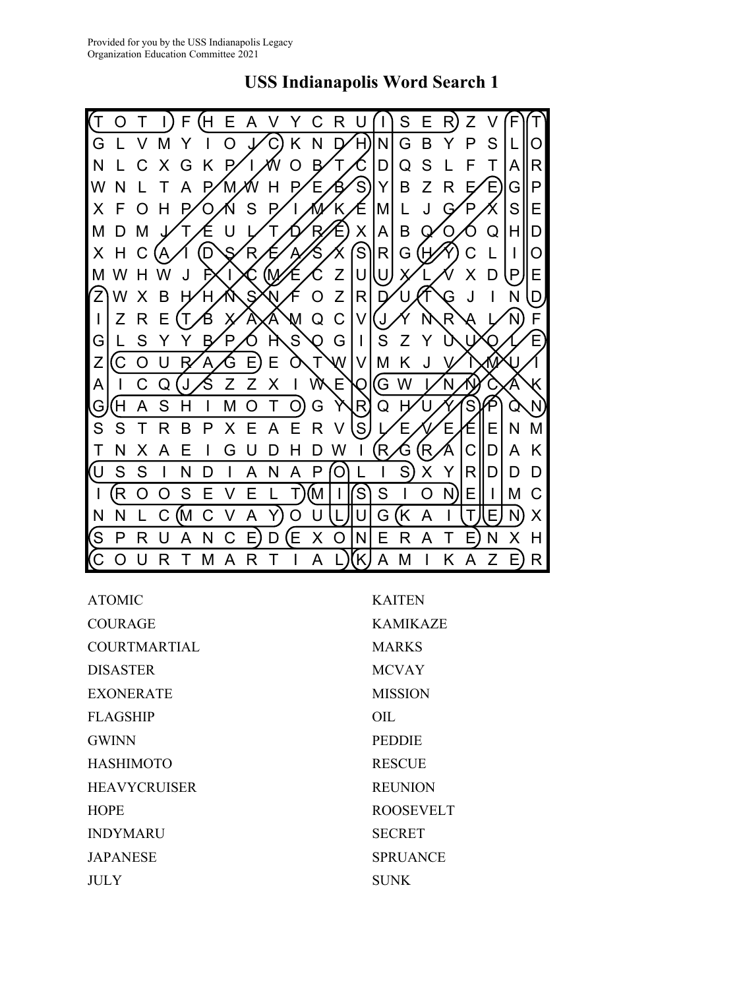

**USS Indianapolis Word Search 1**

| <b>ATOMIC</b>       | <b>KAITEN</b>    |
|---------------------|------------------|
| <b>COURAGE</b>      | <b>KAMIKAZE</b>  |
| COURTMARTIAL        | <b>MARKS</b>     |
| <b>DISASTER</b>     | <b>MCVAY</b>     |
| <b>EXONERATE</b>    | <b>MISSION</b>   |
| <b>FLAGSHIP</b>     | OIL              |
| <b>GWINN</b>        | <b>PEDDIE</b>    |
| <b>HASHIMOTO</b>    | <b>RESCUE</b>    |
| <b>HEAVYCRUISER</b> | <b>REUNION</b>   |
| <b>HOPE</b>         | <b>ROOSEVELT</b> |
| <b>INDYMARU</b>     | <b>SECRET</b>    |
| <b>JAPANESE</b>     | <b>SPRUANCE</b>  |
| ЛИУ                 | <b>SUNK</b>      |